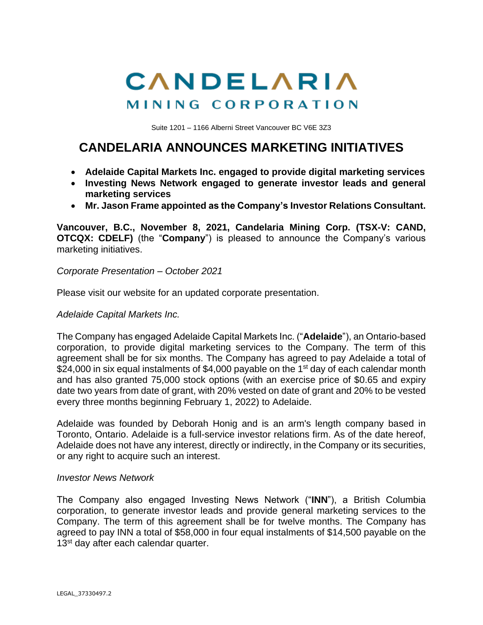# CANDELARIA MINING CORPORATION

Suite 1201 – 1166 Alberni Street Vancouver BC V6E 3Z3

# **CANDELARIA ANNOUNCES MARKETING INITIATIVES**

- **Adelaide Capital Markets Inc. engaged to provide digital marketing services**
- **Investing News Network engaged to generate investor leads and general marketing services**
- **Mr. Jason Frame appointed as the Company's Investor Relations Consultant.**

**Vancouver, B.C., November 8, 2021, Candelaria Mining Corp. (TSX-V: CAND, OTCQX: CDELF)** (the "**Company**") is pleased to announce the Company's various marketing initiatives.

*Corporate Presentation – October 2021*

Please visit our website for an updated corporate presentation.

#### *Adelaide Capital Markets Inc.*

The Company has engaged Adelaide Capital Markets Inc. ("**Adelaide**"), an Ontario-based corporation, to provide digital marketing services to the Company. The term of this agreement shall be for six months. The Company has agreed to pay Adelaide a total of \$24,000 in six equal instalments of \$4,000 payable on the 1<sup>st</sup> day of each calendar month and has also granted 75,000 stock options (with an exercise price of \$0.65 and expiry date two years from date of grant, with 20% vested on date of grant and 20% to be vested every three months beginning February 1, 2022) to Adelaide.

Adelaide was founded by Deborah Honig and is an arm's length company based in Toronto, Ontario. Adelaide is a full-service investor relations firm. As of the date hereof, Adelaide does not have any interest, directly or indirectly, in the Company or its securities, or any right to acquire such an interest.

#### *Investor News Network*

The Company also engaged Investing News Network ("**INN**"), a British Columbia corporation, to generate investor leads and provide general marketing services to the Company. The term of this agreement shall be for twelve months. The Company has agreed to pay INN a total of \$58,000 in four equal instalments of \$14,500 payable on the 13<sup>st</sup> day after each calendar quarter.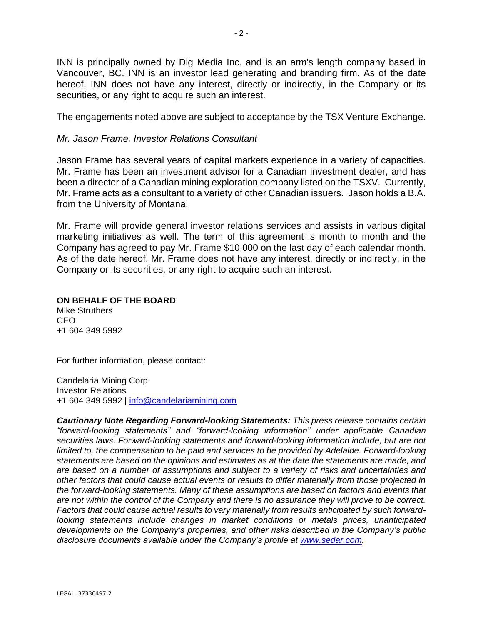INN is principally owned by Dig Media Inc. and is an arm's length company based in Vancouver, BC. INN is an investor lead generating and branding firm. As of the date hereof, INN does not have any interest, directly or indirectly, in the Company or its securities, or any right to acquire such an interest.

The engagements noted above are subject to acceptance by the TSX Venture Exchange.

### *Mr. Jason Frame, Investor Relations Consultant*

Jason Frame has several years of capital markets experience in a variety of capacities. Mr. Frame has been an investment advisor for a Canadian investment dealer, and has been a director of a Canadian mining exploration company listed on the TSXV. Currently, Mr. Frame acts as a consultant to a variety of other Canadian issuers. Jason holds a B.A. from the University of Montana.

Mr. Frame will provide general investor relations services and assists in various digital marketing initiatives as well. The term of this agreement is month to month and the Company has agreed to pay Mr. Frame \$10,000 on the last day of each calendar month. As of the date hereof, Mr. Frame does not have any interest, directly or indirectly, in the Company or its securities, or any right to acquire such an interest.

## **ON BEHALF OF THE BOARD**

Mike Struthers CEO +1 604 349 5992

For further information, please contact:

Candelaria Mining Corp. Investor Relations +1 604 349 5992 | [info@candelariamining.com](mailto:info@candelariamining.com)

*Cautionary Note Regarding Forward-looking Statements: This press release contains certain "forward-looking statements" and "forward-looking information" under applicable Canadian securities laws. Forward-looking statements and forward-looking information include, but are not limited to, the compensation to be paid and services to be provided by Adelaide. Forward-looking statements are based on the opinions and estimates as at the date the statements are made, and are based on a number of assumptions and subject to a variety of risks and uncertainties and other factors that could cause actual events or results to differ materially from those projected in the forward-looking statements. Many of these assumptions are based on factors and events that are not within the control of the Company and there is no assurance they will prove to be correct. Factors that could cause actual results to vary materially from results anticipated by such forwardlooking statements include changes in market conditions or metals prices, unanticipated developments on the Company's properties, and other risks described in the Company's public disclosure documents available under the Company's profile at [www.sedar.com.](http://www.sedar.com/)*